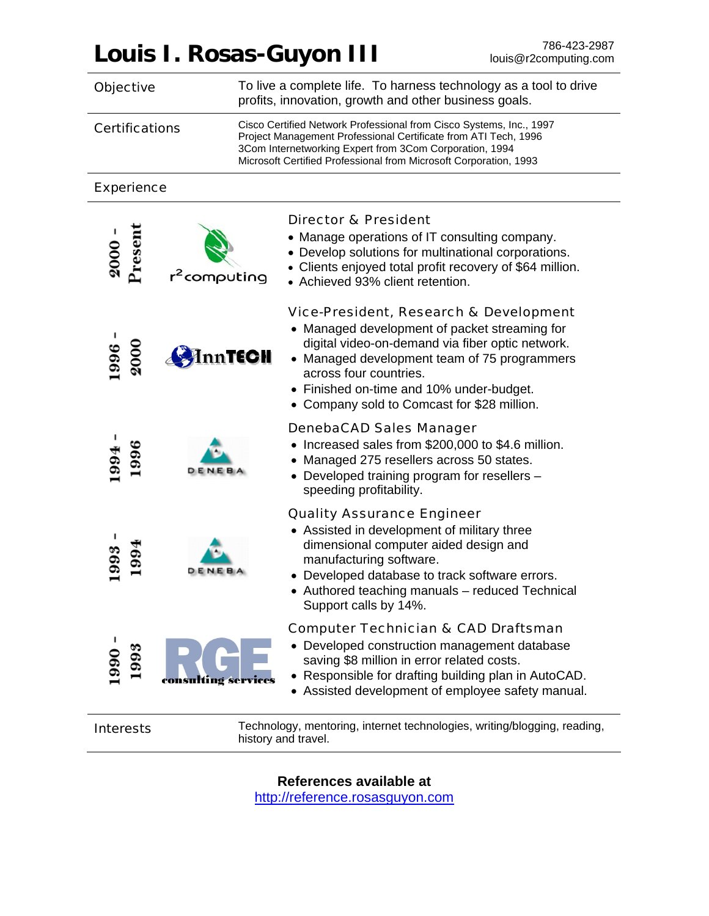# **Louis I. Rosas-Guyon III** 786-423-2987

| <b>Objective</b>      |                                                                                                 | To live a complete life. To harness technology as a tool to drive<br>profits, innovation, growth and other business goals.                                                                                                                                                                                       |  |
|-----------------------|-------------------------------------------------------------------------------------------------|------------------------------------------------------------------------------------------------------------------------------------------------------------------------------------------------------------------------------------------------------------------------------------------------------------------|--|
| <b>Certifications</b> |                                                                                                 | Cisco Certified Network Professional from Cisco Systems, Inc., 1997<br>Project Management Professional Certificate from ATI Tech, 1996<br>3Com Internetworking Expert from 3Com Corporation, 1994<br>Microsoft Certified Professional from Microsoft Corporation, 1993                                           |  |
| <b>Experience</b>     |                                                                                                 |                                                                                                                                                                                                                                                                                                                  |  |
| Present<br>2000       | computing                                                                                       | <b>Director &amp; President</b><br>• Manage operations of IT consulting company.<br>• Develop solutions for multinational corporations.<br>• Clients enjoyed total profit recovery of \$64 million.<br>• Achieved 93% client retention.                                                                          |  |
| 2000<br>1996          | inn <b>TECH</b>                                                                                 | Vice-President, Research & Development<br>• Managed development of packet streaming for<br>digital video-on-demand via fiber optic network.<br>• Managed development team of 75 programmers<br>across four countries.<br>• Finished on-time and 10% under-budget.<br>• Company sold to Comcast for \$28 million. |  |
| 1996<br>1994          |                                                                                                 | <b>DenebaCAD Sales Manager</b><br>Increased sales from \$200,000 to \$4.6 million.<br>• Managed 275 resellers across 50 states.<br>• Developed training program for resellers -<br>speeding profitability.                                                                                                       |  |
|                       |                                                                                                 | <b>Quality Assurance Engineer</b><br>• Assisted in development of military three<br>dimensional computer aided design and<br>manufacturing software.<br>• Developed database to track software errors.<br>Authored teaching manuals - reduced Technical<br>Support calls by 14%.                                 |  |
| 993<br>990            |                                                                                                 | <b>Computer Technician &amp; CAD Draftsman</b><br>• Developed construction management database<br>saving \$8 million in error related costs.<br>• Responsible for drafting building plan in AutoCAD.<br>• Assisted development of employee safety manual.                                                        |  |
| <b>Interests</b>      | Technology, mentoring, internet technologies, writing/blogging, reading,<br>history and travel. |                                                                                                                                                                                                                                                                                                                  |  |

**References available at** 

http://reference.rosasguyon.com